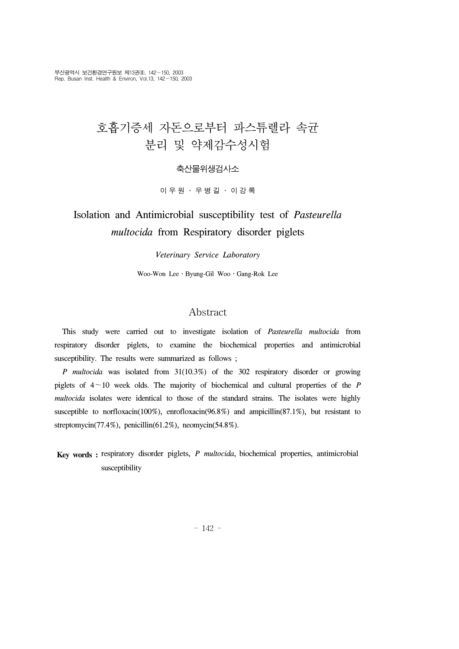# 호흡기증세 자돈으로부터 파스튜렐라 속균 분리 및 약제감수성시험

## 축산물위생검사소

이우원 ․ 우병길 ․ 이강록

## Isolation and Antimicrobial susceptibility test of *Pasteurella multocida* from Respiratory disorder piglets

#### *Veterinary Service Laboratory*

Woo-Won Lee․Byung-Gil Woo․Gang-Rok Lee

### Abstract

 This study were carried out to investigate isolation of *Pasteurella multocida* from respiratory disorder piglets, to examine the biochemical properties and antimicrobial susceptibility. The results were summarized as follows ;

 *P multocida* was isolated from 31(10.3%) of the 302 respiratory disorder or growing piglets of 4∼10 week olds. The majority of biochemical and cultural properties of the *P multocida* isolates were identical to those of the standard strains. The isolates were highly susceptible to norfloxacin(100%), enrofloxacin(96.8%) and ampicillin(87.1%), but resistant to streptomycin(77.4%), penicillin(61.2%), neomycin(54.8%).

**Key words :** respiratory disorder piglets, *P multocida*, biochemical properties, antimicrobial susceptibility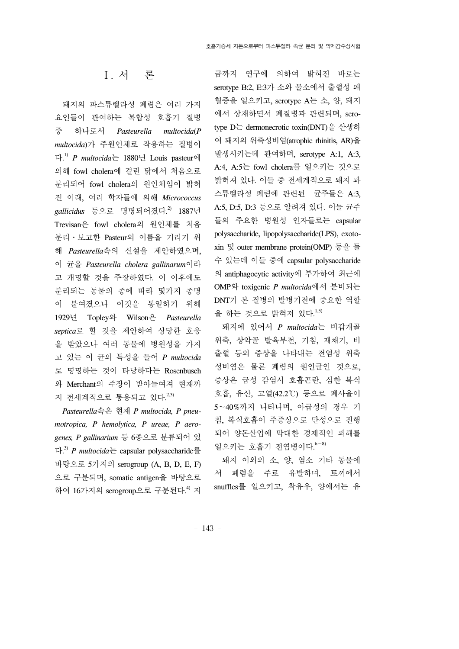Ⅰ. 서 론

 돼지의 파스튜렐라성 폐렴은 여러 가지 요인들이 관여하는 복합성 호흡기 질병 중 하나로서 *Pasteurella multocida*(*P multocida*)가 주원인체로 작용하는 질병이 다. 1) *P multocida*는 1880년 Louis pasteur에 의해 fowl cholera에 걸린 닭에서 처음으로 분리되어 fowl cholera의 원인체임이 밝혀 진 이래, 여러 학자들에 의해 *Micrococcus gallicidus* 등으로 명명되어졌다. 2) 1887년 Trevisan은 fowl cholera의 원인체를 처음 분리․보고한 Pasteur의 이름을 기리기 위 해 *Pasteurella*속의 신설을 제안하였으며, 이 균을 *Pasteurella cholera gallinarum*이라 고 개명할 것을 주장하였다. 이 이후에도 분리되는 동물의 종에 따라 몇가지 종명 이 붙여졌으나 이것을 통일하기 위해 1929년 Topley와 Wilson은 *Pasteurella septica*로 할 것을 제안하여 상당한 호응 을 받았으나 여러 동물에 병원성을 가지 고 있는 이 균의 특성을 들어 *P multocida* 로 명명하는 것이 타당하다는 Rosenbusch 와 Merchant의 주장이 받아들여져 현재까 지 전세계적으로 통용되고 있다.<sup>2,3)</sup>

 *Pasteurella*속은 현재 *P multocida, P pneumotropica, P hemolytica, P ureae, P aerogenes, P gallinarium* 등 6종으로 분류되어 있 다. 3) *P multocida*는 capsular polysaccharide를 바탕으로 5가지의 serogroup (A, B, D, E, F) 으로 구분되며, somatic antigen을 바탕으로 하여 16가지의 serogroup으로 구분된다.<sup>4)</sup> 지

금까지 연구에 의하여 밝혀진 바로는 serotype B:2, E:3가 소와 물소에서 출혈성 패 혈증을 일으키고, serotype A는 소, 양, 돼지 에서 상재하면서 폐질병과 관련되며, serotype D는 dermonecrotic toxin(DNT)을 산생하 여 돼지의 위축성비염(atrophic rhinitis, AR)을 발생시키는데 관여하며, serotype A:1, A:3, A:4, A:5는 fowl cholera를 일으키는 것으로 밝혀져 있다. 이들 중 전세계적으로 돼지 파 스튜렐라성 폐렴에 관련된 균주들은 A:3, A:5, D:5, D:3 등으로 알려져 있다. 이들 균주 들의 주요한 병원성 인자들로는 capsular polysaccharide, lipopolysaccharide(LPS), exotoxin 및 outer membrane protein(OMP) 등을 들 수 있는데 이들 중에 capsular polysaccharide 의 antiphagocytic activity에 부가하여 최근에 OMP와 toxigenic *P multocida*에서 분비되는 DNT가 본 질병의 발병기전에 중요한 역할 을 하는 것으로 밝혀져 있다.<sup>1,5)</sup>

 돼지에 있어서 *P multocida*는 비갑개골 위축, 상악골 발육부전, 기침, 재채기, 비 출혈 등의 증상을 나타내는 전염성 위축 성비염은 물론 폐렴의 원인균인 것으로, 증상은 급성 감염시 호흡곤란, 심한 복식 호흡, 유산, 고열(42.2℃) 등으로 폐사율이 5∼40%까지 나타나며, 아급성의 경우 기 침, 복식호흡이 주증상으로 만성으로 진행 되어 양돈산업에 막대한 경제적인 피해를 일으키는 호흡기 전염병이다. 6~8)

 돼지 이외의 소, 양, 염소 기타 동물에 서 폐렴을 주로 유발하며, 토끼에서 snuffles를 일으키고, 착유우, 양에서는 유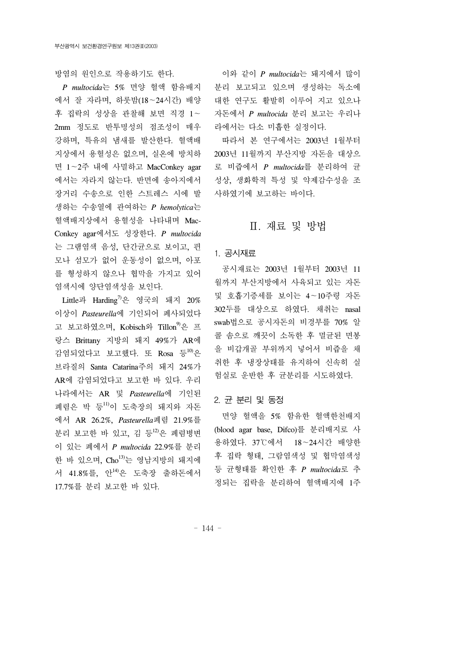방염의 원인으로 작용하기도 한다.

 *P multocida*는 5% 면양 혈액 함유배지 에서 잘 자라며, 하룻밤(18∼24시간) 배양 후 집락의 성상을 관찰해 보면 직경 1∼ 2mm 정도로 반투명성의 점조성이 매우 강하며, 특유의 냄새를 발산한다. 혈액배 지상에서 용혈성은 없으며, 실온에 방치하 면 1∼2주 내에 사멸하고 MacConkey agar 에서는 자라지 않는다. 반면에 송아지에서 장거리 수송으로 인한 스트레스 시에 발 생하는 수송열에 관여하는 *P hemolytica*는 혈액배지상에서 용혈성을 나타내며 Mac-Conkey agar에서도 성장한다. *P multocida* 는 그램염색 음성, 단간균으로 보이고, 편 모나 섬모가 없어 운동성이 없으며, 아포 를 형성하지 않으나 협막을 가지고 있어 염색시에 양단염색성을 보인다.

Little과 Harding<sup>7)</sup>은 영국의 돼지 20% 이상이 *Pasteurella*에 기인되어 폐사되었다 고 보고하였으며, Kobisch와 Tillon<sup>9)</sup>은 프 랑스 Brittany 지방의 돼지 49%가 AR에 감염되었다고 보고했다. 또 Rosa 등10)은 브라질의 Santa Catarina주의 돼지 24%가 AR에 감염되었다고 보고한 바 있다. 우리 나라에서는 AR 및 *Pasteurella*에 기인된 폐렴은 박 등 $^{11}$ 이 도축장의 돼지와 자돈 에서 AR 26.2%, *Pasteurella*폐렴 21.9%를 분리 보고한 바 있고, 김 등12)은 폐렴병변 이 있는 폐에서 *P multocida* 22.9%를 분리 한 바 있으며,  $Cho<sup>13</sup>$ 는 영남지방의 돼지에 서 41.8%를, 안14)은 도축장 출하돈에서 17.7%를 분리 보고한 바 있다.

 이와 같이 *P multocida*는 돼지에서 많이 분리 보고되고 있으며 생성하는 독소에 대한 연구도 활발히 이루어 지고 있으나 자돈에서 *P multocida* 분리 보고는 우리나 라에서는 다소 미흡한 실정이다.

 따라서 본 연구에서는 2003년 1월부터 2003년 11월까지 부산지방 자돈을 대상으 로 비즙에서 *P multocida*를 분리하여 균 성상, 생화학적 특성 및 약제감수성을 조 사하였기에 보고하는 바이다.

## Ⅱ. 재료 및 방법

#### 1. 공시재료

 공시재료는 2003년 1월부터 2003년 11 월까지 부산지방에서 사육되고 있는 자돈 및 호흡기증세를 보이는 4∼10주령 자돈 302두를 대상으로 하였다. 채취는 nasal swab법으로 공시자돈의 비경부를 70% 알 콜 솜으로 깨끗이 소독한 후 멸균된 면봉 을 비갑개골 부위까지 넣어서 비즙을 채 취한 후 냉장상태를 유지하여 신속히 실 험실로 운반한 후 균분리를 시도하였다.

#### 2. 균 분리 및 동정

 면양 혈액을 5% 함유한 혈액한천배지 (blood agar base, Difco)를 분리배지로 사 용하였다. 37℃에서 18∼24시간 배양한 후 집락 형태, 그람염색성 및 협막염색성 등 균형태를 확인한 후 *P multocida*로 추 정되는 집락을 분리하여 혈액배지에 1주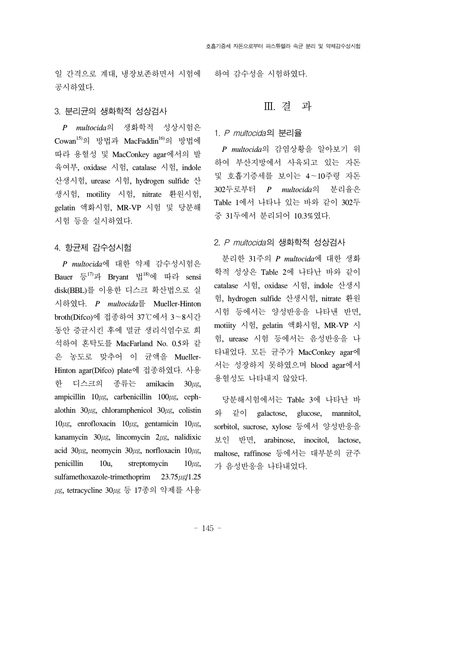일 간격으로 계대, 냉장보존하면서 시험에 공시하였다.

#### 3. 분리균의 생화학적 성상검사

 *P multocida*의 생화학적 성상시험은 Cowan<sup>15)</sup>의 방법과 MacFaddin<sup>16)</sup>의 방법에 따라 용혈성 및 MacConkey agar에서의 발 육여부, oxidase 시험, catalase 시험, indole 산생시험, urease 시험, hydrogen sulfide 산 생시험, motility 시험, nitrate 환원시험, gelatin 액화시험, MR-VP 시험 및 당분해 시험 등을 실시하였다.

#### 4. 항균제 감수성시험

 *P multocida*에 대한 약제 감수성시험은 Bauer 등17)과 Bryant 법18)에 따라 sensi disk(BBL)를 이용한 디스크 확산법으로 실 시하였다. *P multocida*를 Mueller-Hinton broth(Difco)에 접종하여 37℃에서 3∼8시간 동안 증균시킨 후에 멸균 생리식염수로 희 석하여 혼탁도를 MacFarland No. 0.5와 같 은 농도로 맞추어 이 균액을 Mueller-Hinton agar(Difco) plate에 접종하였다. 사용 한 디스크의 종류는 amikacin 30 $\mu$ g, ampicillin 10 $\mu$ g, carbenicillin 100 $\mu$ g, cephalothin  $30\mu$ g, chloramphenicol  $30\mu$ g, colistin  $10\mu$ g, enrofloxacin  $10\mu$ g, gentamicin  $10\mu$ g, kanamycin  $30\mu$ g, lincomycin  $2\mu$ g, nalidixic acid 30 $\mu$ g, neomycin 30 $\mu$ g, norfloxacin 10 $\mu$ g, penicillin 10u, streptomycin  $10\mu$ g, sulfamethoxazole-trimethoprim 23.75µg/1.25  $\mu$ g, tetracycline 30 $\mu$ g 등 17종의 약제를 사용

하여 감수성을 시험하였다.

## Ⅲ. 결 과

#### 1. P multocida의 분리율

 *P multocida*의 감염상황을 알아보기 위 하여 부산지방에서 사육되고 있는 자돈 및 호흡기증세를 보이는 4∼10주령 자돈 302두로부터 *P multocida*의 분리율은 Table 1에서 나타나 있는 바와 같이 302두 중 31두에서 분리되어 10.3%였다.

#### 2. P multocida의 생화학적 성상검사

 분리한 31주의 *P multocida*에 대한 생화 학적 성상은 Table 2에 나타난 바와 같이 catalase 시험, oxidase 시험, indole 산생시 험, hydrogen sulfide 산생시험, nitrate 환원 시험 등에서는 양성반응을 나타낸 반면, motiity 시험, gelatin 액화시험, MR-VP 시 험, urease 시험 등에서는 음성반응을 나 타내었다. 모든 균주가 MacConkey agar에 서는 성장하지 못하였으며 blood agar에서 용혈성도 나타내지 않았다.

 당분해시험에서는 Table 3에 나타난 바 와 같이 galactose, glucose, mannitol, sorbitol, sucrose, xylose 등에서 양성반응을 보인 반면, arabinose, inocitol, lactose, maltose, raffinose 등에서는 대부분의 균주 가 음성반응을 나타내었다.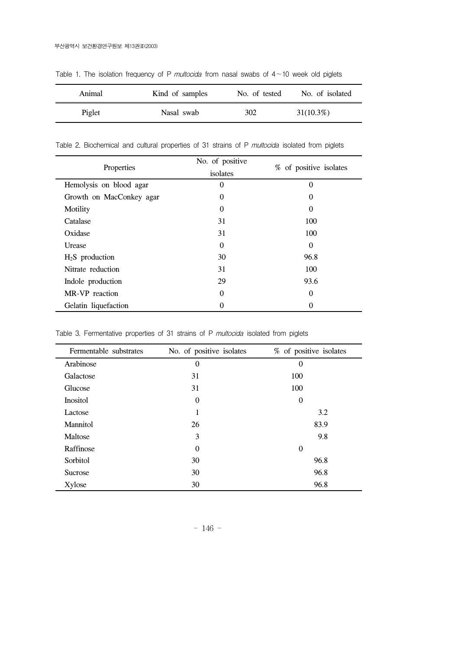| Animal | Kind of samples | No. of tested | No. of isolated |
|--------|-----------------|---------------|-----------------|
| Piglet | Nasal swab      | 302           | $31(10.3\%)$    |

Table 1. The isolation frequency of P *multocida* from nasal swabs of 4∼10 week old piglets

Table 2. Biochemical and cultural properties of 31 strains of P multocida isolated from piglets

| Properties               | No. of positive | % of positive isolates |  |
|--------------------------|-----------------|------------------------|--|
|                          | isolates        |                        |  |
| Hemolysis on blood agar  | 0               | $\Omega$               |  |
| Growth on MacConkey agar | 0               | 0                      |  |
| Motility                 | 0               | 0                      |  |
| Catalase                 | 31              | 100                    |  |
| Oxidase                  | 31              | 100                    |  |
| Urease                   | $\theta$        | $\Omega$               |  |
| $H2S$ production         | 30              | 96.8                   |  |
| Nitrate reduction        | 31              | 100                    |  |
| Indole production        | 29              | 93.6                   |  |
| MR-VP reaction           | $\theta$        | 0                      |  |
| Gelatin liquefaction     | 0               | 0                      |  |

Table 3. Fermentative properties of 31 strains of P *multocida* isolated from piglets

| Fermentable substrates | No. of positive isolates | % of positive isolates |
|------------------------|--------------------------|------------------------|
| Arabinose              | $\overline{0}$           | $\Omega$               |
| Galactose              | 31                       | 100                    |
| Glucose                | 31                       | 100                    |
| <b>Inositol</b>        | 0                        | 0                      |
| Lactose                | 1                        | 3.2                    |
| Mannitol               | 26                       | 83.9                   |
| Maltose                | 3                        | 9.8                    |
| Raffinose              | $\Omega$                 | $\Omega$               |
| Sorbitol               | 30                       | 96.8                   |
| <b>Sucrose</b>         | 30                       | 96.8                   |
| Xylose                 | 30                       | 96.8                   |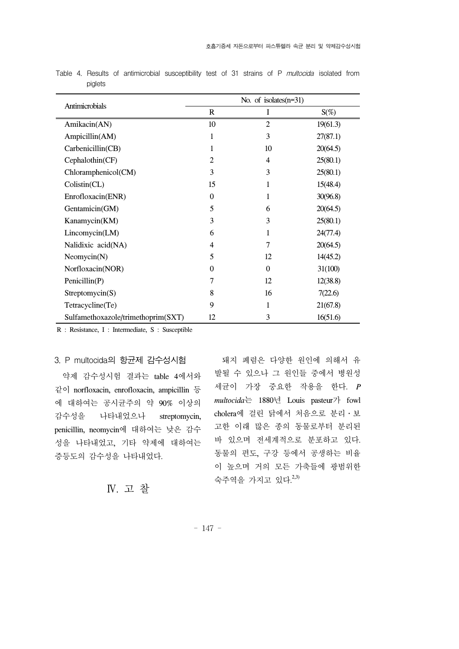| Antimicrobials                     | No. of isolates(n=31) |                |          |
|------------------------------------|-----------------------|----------------|----------|
|                                    | $\mathbf R$           | Ι              | $S(\%)$  |
| Amikacin(AN)                       | 10                    | $\overline{c}$ | 19(61.3) |
| Ampicillin(AM)                     | 1                     | 3              | 27(87.1) |
| Carbenicillin(CB)                  | 1                     | 10             | 20(64.5) |
| Cephalothin(CF)                    | $\overline{c}$        | 4              | 25(80.1) |
| Chloramphenicol(CM)                | 3                     | 3              | 25(80.1) |
| Colistin(CL)                       | 15                    | 1              | 15(48.4) |
| Enrofloxacin(ENR)                  | $\boldsymbol{0}$      | 1              | 30(96.8) |
| Gentamicin(GM)                     | 5                     | 6              | 20(64.5) |
| Kanamycin(KM)                      | 3                     | 3              | 25(80.1) |
| Lincomycin(LM)                     | 6                     | 1              | 24(77.4) |
| Nalidixic acid(NA)                 | 4                     | 7              | 20(64.5) |
| Neomycin(N)                        | 5                     | 12             | 14(45.2) |
| Norfloxacin(NOR)                   | $\overline{0}$        | $\overline{0}$ | 31(100)  |
| Penicillin $(P)$                   | 7                     | 12             | 12(38.8) |
| Streptomycin(S)                    | 8                     | 16             | 7(22.6)  |
| Tetracycline(Te)                   | 9                     | 1              | 21(67.8) |
| Sulfamethoxazole/trimethoprim(SXT) | 12                    | 3              | 16(51.6) |

Table 4. Results of antimicrobial susceptibility test of 31 strains of P multocida isolated from piglets

R : Resistance, I : Intermediate, S : Susceptible

3. P multocida의 항균제 감수성시험

 약제 감수성시험 결과는 table 4에서와 같이 norfloxacin, enrofloxacin, ampicillin 등 에 대하여는 공시균주의 약 90% 이상의 감수성을 나타내었으나 streptomycin, penicillin, neomycin에 대하여는 낮은 감수 성을 나타내었고, 기타 약제에 대하여는 증등도의 감수성을 나타내었다.

 돼지 폐렴은 다양한 원인에 의해서 유 발될 수 있으나 그 원인들 중에서 병원성 세균이 가장 중요한 작용을 한다. *P multocida*는 1880년 Louis pasteur가 fowl cholera에 걸린 닭에서 처음으로 분리․보 고한 이래 많은 종의 동물로부터 분리된 바 있으며 전세계적으로 분포하고 있다. 동물의 편도, 구강 등에서 공생하는 비율 이 높으며 거의 모든 가축들에 광범위한 숙주역을 가지고 있다.<sup>2,3)</sup>

Ⅳ. 고 찰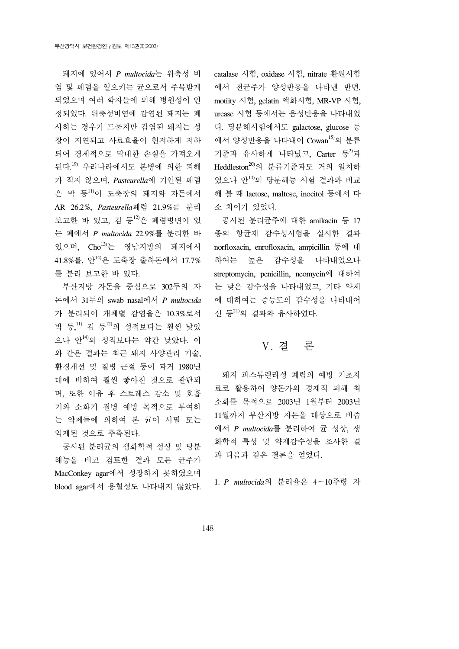돼지에 있어서 *P multocida*는 위축성 비 염 및 폐렴을 일으키는 균으로서 주목받게 되었으며 여러 학자들에 의해 병원성이 인 정되었다. 위축성비염에 감염된 돼지는 폐 사하는 경우가 드물지만 감염된 돼지는 성 장이 지연되고 사료효율이 현저하게 저하 되어 경제적으로 막대한 손실을 가져오게 된다. 19) 우리나라에서도 본병에 의한 피해 가 적지 않으며, *Pasteurella*에 기인된 폐렴 은 박 등11)이 도축장의 돼지와 자돈에서 AR 26.2%, *Pasteurella*폐렴 21.9%를 분리 보고한 바 있고, 김 등12)은 폐렴병변이 있 는 폐에서 *P multocida* 22.9%를 분리한 바 있으며, Cho13)는 영남지방의 돼지에서 41.8%를, 안14)은 도축장 출하돈에서 17.7% 를 분리 보고한 바 있다.

 부산지방 자돈을 중심으로 302두의 자 돈에서 31두의 swab nasal에서 *P multocida* 가 분리되어 개체별 감염율은 10.3%로서 박 등, 11) 김 등12)의 성적보다는 훨씬 낮았 으나 안14)의 성적보다는 약간 낮았다. 이 와 같은 결과는 최근 돼지 사양관리 기술, 환경개선 및 질병 근절 등이 과거 1980년 대에 비하여 훨씬 좋아진 것으로 판단되 며, 또한 이유 후 스트레스 감소 및 호흡 기와 소화기 질병 예방 목적으로 투여하 는 약제들에 의하여 본 균이 사멸 또는 억제된 것으로 추측된다.

 공시된 분리균의 생화학적 성상 및 당분 해능을 비교 검토한 결과 모든 균주가 MacConkey agar에서 성장하지 못하였으며 blood agar에서 용혈성도 나타내지 않았다. catalase 시험, oxidase 시험, nitrate 환원시험 에서 전균주가 양성반응을 나타낸 반면, motiity 시험, gelatin 액화시험, MR-VP 시험, urease 시험 등에서는 음성반응을 나타내었 다. 당분해시험에서도 galactose, glucose 등 에서 양성반응을 나타내어 Cowan<sup>15)</sup>의 분류 기준과 유사하게 나타났고, Carter 등 $^{2)}$ 과 Heddleston20)의 분류기준과도 거의 일치하 였으나 안14)의 당분해능 시험 결과와 비교 해 볼 때 lactose, maltose, inocitol 등에서 다 소 차이가 있었다.

 공시된 분리균주에 대한 amikacin 등 17 종의 항균제 감수성시험을 실시한 결과 norfloxacin, enrofloxacin, ampicillin 등에 대 하여는 높은 감수성을 나타내었으나 streptomycin, penicillin, neomycin에 대하여 는 낮은 감수성을 나타내었고, 기타 약제 에 대하여는 증등도의 감수성을 나타내어 신 등21)의 결과와 유사하였다.

## Ⅴ. 결 론

 돼지 파스튜렐라성 폐렴의 예방 기초자 료로 활용하여 양돈가의 경제적 피해 최 소화를 목적으로 2003년 1월부터 2003년 11월까지 부산지방 자돈을 대상으로 비즙 에서 *P multocida*를 분리하여 균 성상, 생 화학적 특성 및 약제감수성을 조사한 결 과 다음과 같은 결론을 얻었다.

1. *P multocida*의 분리율은 4∼10주령 자

- 148 -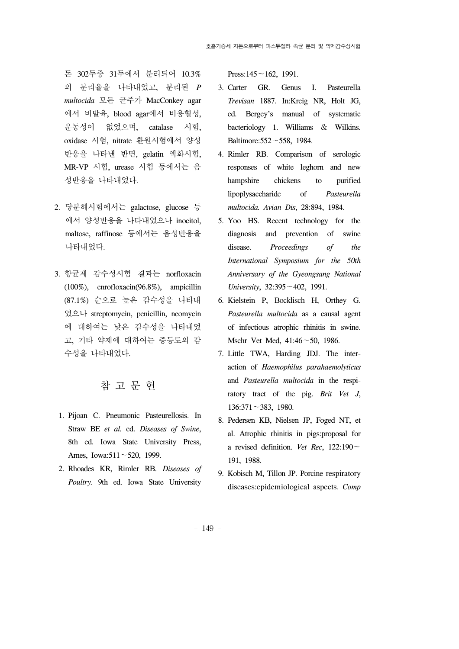돈 302두중 31두에서 분리되어 10.3% 의 분리율을 나타내었고, 분리된 *P multocida* 모든 균주가 MacConkey agar 에서 비발육, blood agar에서 비용혈성, 운동성이 없었으며, catalase 시험, oxidase 시험, nitrate 환원시험에서 양성 반응을 나타낸 반면, gelatin 액화시험, MR-VP 시험, urease 시험 등에서는 음 성반응을 나타내었다.

- 2. 당분해시험에서는 galactose, glucose 등 에서 양성반응을 나타내었으나 inocitol, maltose, raffinose 등에서는 음성반응을 나타내었다.
- 3. 항균제 감수성시험 결과는 norfloxacin (100%), enrofloxacin(96.8%), ampicillin (87.1%) 순으로 높은 감수성을 나타내 었으나 streptomycin, penicillin, neomycin 에 대하여는 낮은 감수성을 나타내었 고, 기타 약제에 대하여는 증등도의 감 수성을 나타내었다.

참 고 문 헌

- 1. Pijoan C. Pneumonic Pasteurellosis. In Straw BE *et al.* ed. *Diseases of Swine*, 8th ed. Iowa State University Press, Ames, Iowa:511∼520, 1999.
- 2. Rhoades KR, Rimler RB. *Diseases of Poultry.* 9th ed. Iowa State University

Press:145∼162, 1991.

- 3. Carter GR. Genus I. Pasteurella *Trevisan* 1887. In:Kreig NR, Holt JG, ed. Bergey's manual of systematic bacteriology 1. Williams & Wilkins. Baltimore:552∼558, 1984.
- 4. Rimler RB. Comparison of serologic responses of white leghorn and new hampshire chickens to purified lipoplysaccharide of *Pasteurella multocida. Avian Dis*, 28:894, 1984.
- 5. Yoo HS. Recent technology for the diagnosis and prevention of swine disease. *Proceedings of the International Symposium for the 50th Anniversary of the Gyeongsang National University*, 32:395∼402, 1991.
- 6. Kielstein P, Bocklisch H, Orthey G. *Pasteurella multocida* as a causal agent of infectious atrophic rhinitis in swine. Mschr Vet Med, 41:46∼50, 1986.
- 7. Little TWA, Harding JDJ. The interaction of *Haemophilus parahaemolyticus* and *Pasteurella multocida* in the respiratory tract of the pig. *Brit Vet J*, 136:371∼383, 1980.
- 8. Pedersen KB, Nielsen JP, Foged NT, et al. Atrophic rhinitis in pigs:proposal for a revised definition. *Vet Rec*, 122:190∼ 191, 1988.
- 9. Kobisch M, Tillon JP. Porcine respiratory diseases:epidemiological aspects. *Comp*